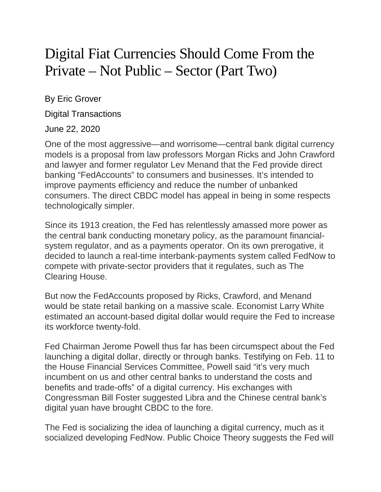## Digital Fiat Currencies Should Come From the Private – Not Public – Sector (Part Two)

By Eric Grover

Digital Transactions

June 22, 2020

One of the most aggressive—and worrisome—central bank digital currency models is a proposal from law professors Morgan Ricks and John Crawford and lawyer and former regulator Lev Menand that the Fed provide direct banking "FedAccounts" to consumers and businesses. It's intended to improve payments efficiency and reduce the number of unbanked consumers. The direct CBDC model has appeal in being in some respects technologically simpler.

Since its 1913 creation, the Fed has relentlessly amassed more power as the central bank conducting monetary policy, as the paramount financialsystem regulator, and as a payments operator. On its own prerogative, it decided to launch a real-time interbank-payments system called FedNow to compete with private-sector providers that it regulates, such as The Clearing House.

But now the FedAccounts proposed by Ricks, Crawford, and Menand would be state retail banking on a massive scale. Economist Larry White estimated an account-based digital dollar would require the Fed to increase its workforce twenty-fold.

Fed Chairman Jerome Powell thus far has been circumspect about the Fed launching a digital dollar, directly or through banks. Testifying on Feb. 11 to the House Financial Services Committee, Powell said "it's very much incumbent on us and other central banks to understand the costs and benefits and trade-offs" of a digital currency. His exchanges with Congressman Bill Foster suggested Libra and the Chinese central bank's digital yuan have brought CBDC to the fore.

The Fed is socializing the idea of launching a digital currency, much as it socialized developing FedNow. Public Choice Theory suggests the Fed will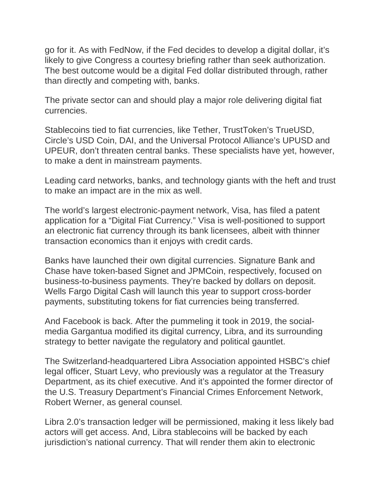go for it. As with FedNow, if the Fed decides to develop a digital dollar, it's likely to give Congress a courtesy briefing rather than seek authorization. The best outcome would be a digital Fed dollar distributed through, rather than directly and competing with, banks.

The private sector can and should play a major role delivering digital fiat currencies.

Stablecoins tied to fiat currencies, like Tether, TrustToken's TrueUSD, Circle's USD Coin, DAI, and the Universal Protocol Alliance's UPUSD and UPEUR, don't threaten central banks. These specialists have yet, however, to make a dent in mainstream payments.

Leading card networks, banks, and technology giants with the heft and trust to make an impact are in the mix as well.

The world's largest electronic-payment network, Visa, has filed a patent application for a "Digital Fiat Currency." Visa is well-positioned to support an electronic fiat currency through its bank licensees, albeit with thinner transaction economics than it enjoys with credit cards.

Banks have launched their own digital currencies. Signature Bank and Chase have token-based Signet and JPMCoin, respectively, focused on business-to-business payments. They're backed by dollars on deposit. Wells Fargo Digital Cash will launch this year to support cross-border payments, substituting tokens for fiat currencies being transferred.

And Facebook is back. After the pummeling it took in 2019, the socialmedia Gargantua modified its digital currency, Libra, and its surrounding strategy to better navigate the regulatory and political gauntlet.

The Switzerland-headquartered Libra Association appointed HSBC's chief legal officer, Stuart Levy, who previously was a regulator at the Treasury Department, as its chief executive. And it's appointed the former director of the U.S. Treasury Department's Financial Crimes Enforcement Network, Robert Werner, as general counsel.

Libra 2.0's transaction ledger will be permissioned, making it less likely bad actors will get access. And, Libra stablecoins will be backed by each jurisdiction's national currency. That will render them akin to electronic